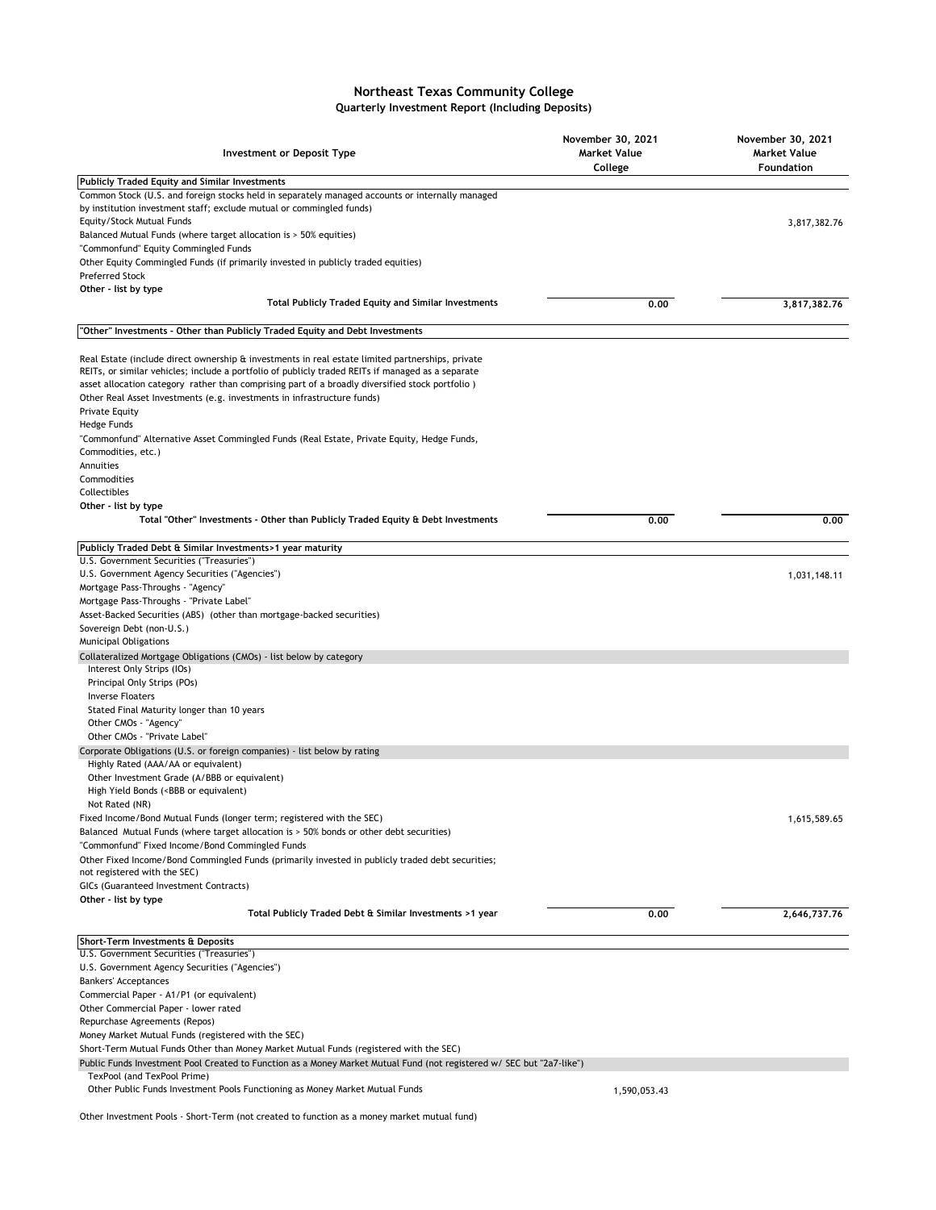## **Northeast Texas Community College Quarterly Investment Report (Including Deposits)**

| <b>Investment or Deposit Type</b>                                                                                                                                                                     | November 30, 2021<br><b>Market Value</b><br>College | November 30, 2021<br><b>Market Value</b><br>Foundation |
|-------------------------------------------------------------------------------------------------------------------------------------------------------------------------------------------------------|-----------------------------------------------------|--------------------------------------------------------|
| <b>Publicly Traded Equity and Similar Investments</b>                                                                                                                                                 |                                                     |                                                        |
| Common Stock (U.S. and foreign stocks held in separately managed accounts or internally managed                                                                                                       |                                                     |                                                        |
| by institution investment staff; exclude mutual or commingled funds)                                                                                                                                  |                                                     |                                                        |
| Equity/Stock Mutual Funds                                                                                                                                                                             |                                                     | 3,817,382.76                                           |
| Balanced Mutual Funds (where target allocation is > 50% equities)<br>"Commonfund" Equity Commingled Funds                                                                                             |                                                     |                                                        |
| Other Equity Commingled Funds (if primarily invested in publicly traded equities)                                                                                                                     |                                                     |                                                        |
| <b>Preferred Stock</b>                                                                                                                                                                                |                                                     |                                                        |
| Other - list by type                                                                                                                                                                                  |                                                     |                                                        |
| Total Publicly Traded Equity and Similar Investments                                                                                                                                                  | 0.00                                                | 3,817,382.76                                           |
| "Other" Investments - Other than Publicly Traded Equity and Debt Investments                                                                                                                          |                                                     |                                                        |
|                                                                                                                                                                                                       |                                                     |                                                        |
| Real Estate (include direct ownership & investments in real estate limited partnerships, private<br>REITs, or similar vehicles; include a portfolio of publicly traded REITs if managed as a separate |                                                     |                                                        |
| asset allocation category rather than comprising part of a broadly diversified stock portfolio)                                                                                                       |                                                     |                                                        |
| Other Real Asset Investments (e.g. investments in infrastructure funds)                                                                                                                               |                                                     |                                                        |
| <b>Private Equity</b>                                                                                                                                                                                 |                                                     |                                                        |
| Hedge Funds                                                                                                                                                                                           |                                                     |                                                        |
| "Commonfund" Alternative Asset Commingled Funds (Real Estate, Private Equity, Hedge Funds,                                                                                                            |                                                     |                                                        |
| Commodities, etc.)                                                                                                                                                                                    |                                                     |                                                        |
| Annuities                                                                                                                                                                                             |                                                     |                                                        |
| Commodities                                                                                                                                                                                           |                                                     |                                                        |
| Collectibles<br>Other - list by type                                                                                                                                                                  |                                                     |                                                        |
| Total "Other" Investments - Other than Publicly Traded Equity & Debt Investments                                                                                                                      | 0.00                                                | 0.00                                                   |
|                                                                                                                                                                                                       |                                                     |                                                        |
| Publicly Traded Debt & Similar Investments>1 year maturity                                                                                                                                            |                                                     |                                                        |
| U.S. Government Securities ("Treasuries")                                                                                                                                                             |                                                     |                                                        |
| U.S. Government Agency Securities ("Agencies")                                                                                                                                                        |                                                     | 1,031,148.11                                           |
| Mortgage Pass-Throughs - "Agency"                                                                                                                                                                     |                                                     |                                                        |
| Mortgage Pass-Throughs - "Private Label"<br>Asset-Backed Securities (ABS) (other than mortgage-backed securities)                                                                                     |                                                     |                                                        |
| Sovereign Debt (non-U.S.)                                                                                                                                                                             |                                                     |                                                        |
| <b>Municipal Obligations</b>                                                                                                                                                                          |                                                     |                                                        |
| Collateralized Mortgage Obligations (CMOs) - list below by category                                                                                                                                   |                                                     |                                                        |
| Interest Only Strips (IOs)                                                                                                                                                                            |                                                     |                                                        |
| Principal Only Strips (POs)                                                                                                                                                                           |                                                     |                                                        |
| <b>Inverse Floaters</b>                                                                                                                                                                               |                                                     |                                                        |
| Stated Final Maturity longer than 10 years                                                                                                                                                            |                                                     |                                                        |
| Other CMOs - "Agency"<br>Other CMOs - "Private Label"                                                                                                                                                 |                                                     |                                                        |
| Corporate Obligations (U.S. or foreign companies) - list below by rating                                                                                                                              |                                                     |                                                        |
| Highly Rated (AAA/AA or equivalent)                                                                                                                                                                   |                                                     |                                                        |
| Other Investment Grade (A/BBB or equivalent)                                                                                                                                                          |                                                     |                                                        |
| High Yield Bonds ( <bbb equivalent)<="" or="" td=""><td></td><td></td></bbb>                                                                                                                          |                                                     |                                                        |
| Not Rated (NR)                                                                                                                                                                                        |                                                     |                                                        |
| Fixed Income/Bond Mutual Funds (longer term; registered with the SEC)                                                                                                                                 |                                                     | 1,615,589.65                                           |
| Balanced Mutual Funds (where target allocation is > 50% bonds or other debt securities)                                                                                                               |                                                     |                                                        |
| "Commonfund" Fixed Income/Bond Commingled Funds                                                                                                                                                       |                                                     |                                                        |
| Other Fixed Income/Bond Commingled Funds (primarily invested in publicly traded debt securities;<br>not registered with the SEC)                                                                      |                                                     |                                                        |
| GICs (Guaranteed Investment Contracts)                                                                                                                                                                |                                                     |                                                        |
| Other - list by type                                                                                                                                                                                  |                                                     |                                                        |
| Total Publicly Traded Debt & Similar Investments >1 year                                                                                                                                              | 0.00                                                | 2,646,737.76                                           |
| Short-Term Investments & Deposits                                                                                                                                                                     |                                                     |                                                        |
| U.S. Government Securities ("Treasuries")                                                                                                                                                             |                                                     |                                                        |
| U.S. Government Agency Securities ("Agencies")                                                                                                                                                        |                                                     |                                                        |
| <b>Bankers' Acceptances</b>                                                                                                                                                                           |                                                     |                                                        |
| Commercial Paper - A1/P1 (or equivalent)                                                                                                                                                              |                                                     |                                                        |
| Other Commercial Paper - lower rated                                                                                                                                                                  |                                                     |                                                        |
| Repurchase Agreements (Repos)                                                                                                                                                                         |                                                     |                                                        |
| Money Market Mutual Funds (registered with the SEC)                                                                                                                                                   |                                                     |                                                        |
| Short-Term Mutual Funds Other than Money Market Mutual Funds (registered with the SEC)                                                                                                                |                                                     |                                                        |
| Public Funds Investment Pool Created to Function as a Money Market Mutual Fund (not registered w/ SEC but "2a7-like")                                                                                 |                                                     |                                                        |
| TexPool (and TexPool Prime)<br>Other Public Funds Investment Pools Functioning as Money Market Mutual Funds                                                                                           | 1,590,053.43                                        |                                                        |
|                                                                                                                                                                                                       |                                                     |                                                        |

Other Investment Pools - Short-Term (not created to function as a money market mutual fund)